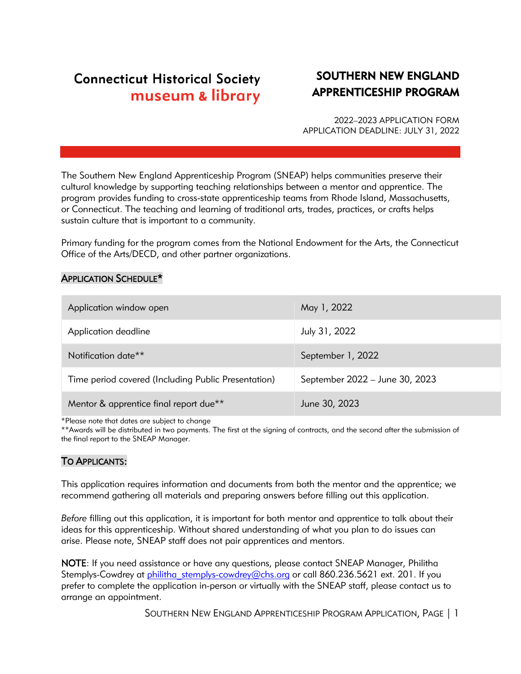# **Connecticut Historical Society** museum & library

# SOUTHERN NEW ENGLAND APPRENTICESHIP PROGRAM

2022–2023 APPLICATION FORM APPLICATION DEADLINE: JULY 31, 2022

The Southern New England Apprenticeship Program (SNEAP) helps communities preserve their cultural knowledge by supporting teaching relationships between a mentor and apprentice. The program provides funding to cross-state apprenticeship teams from Rhode Island, Massachusetts, or Connecticut. The teaching and learning of traditional arts, trades, practices, or crafts helps sustain culture that is important to a community.

Primary funding for the program comes from the National Endowment for the Arts, the Connecticut Office of the Arts/DECD, and other partner organizations.

#### APPLICATION SCHEDULE\*

| Application window open                             | May 1, 2022                    |
|-----------------------------------------------------|--------------------------------|
| Application deadline                                | July 31, 2022                  |
| Notification date <sup>**</sup>                     | September 1, 2022              |
| Time period covered (Including Public Presentation) | September 2022 - June 30, 2023 |
| Mentor & apprentice final report due**              | June 30, 2023                  |

\*Please note that dates are subject to change

\*\*Awards will be distributed in two payments. The first at the signing of contracts, and the second after the submission of the final report to the SNEAP Manager.

## TO APPLICANTS:

This application requires information and documents from both the mentor and the apprentice; we recommend gathering all materials and preparing answers before filling out this application.

*Before* filling out this application, it is important for both mentor and apprentice to talk about their ideas for this apprenticeship. Without shared understanding of what you plan to do issues can arise. Please note, SNEAP staff does not pair apprentices and mentors.

NOTE: If you need assistance or have any questions, please contact SNEAP Manager, Philitha Stemplys-Cowdrey at [philitha\\_stemplys-cowdrey@chs.org](mailto:philitha_stemplys-cowdrey@chs.org) or call 860.236.5621 ext. 201. If you prefer to complete the application in-person or virtually with the SNEAP staff, please contact us to arrange an appointment.

SOUTHERN NEW ENGLAND APPRENTICESHIP PROGRAM APPLICATION, PAGE | 1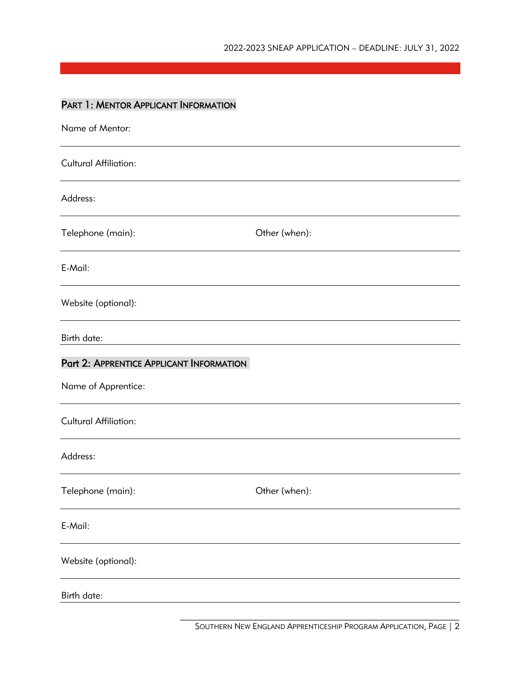## PART 1: MENTOR APPLICANT INFORMATION

| Name of Mentor:                          |               |
|------------------------------------------|---------------|
| <b>Cultural Affiliation:</b>             |               |
| Address:                                 |               |
| Telephone (main):                        | Other (when): |
| E-Mail:                                  |               |
| Website (optional):                      |               |
| Birth date:                              |               |
| Part 2: APPRENTICE APPLICANT INFORMATION |               |
| Name of Apprentice:                      |               |
| <b>Cultural Affiliation:</b>             |               |
| Address:                                 |               |
| Telephone (main):                        | Other (when): |
| E-Mail:                                  |               |
| Website (optional):                      |               |
| Birth date:                              |               |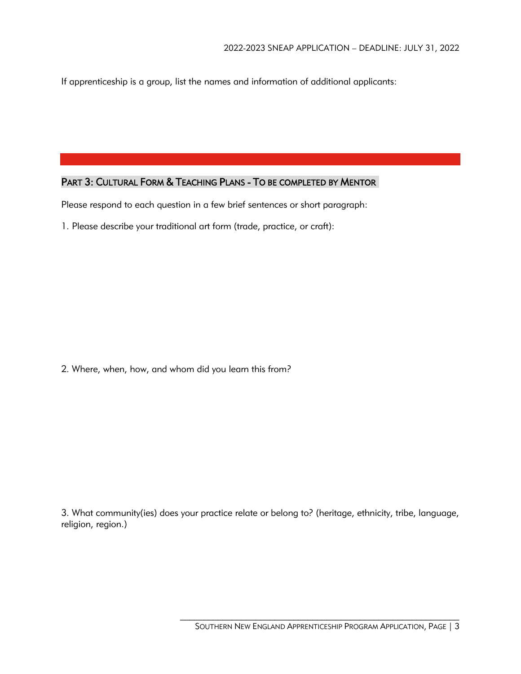If apprenticeship is a group, list the names and information of additional applicants:

## PART 3: CULTURAL FORM & TEACHING PLANS - TO BE COMPLETED BY MENTOR

Please respond to each question in a few brief sentences or short paragraph:

1. Please describe your traditional art form (trade, practice, or craft):

2. Where, when, how, and whom did you learn this from?

3. What community(ies) does your practice relate or belong to? (heritage, ethnicity, tribe, language, religion, region.)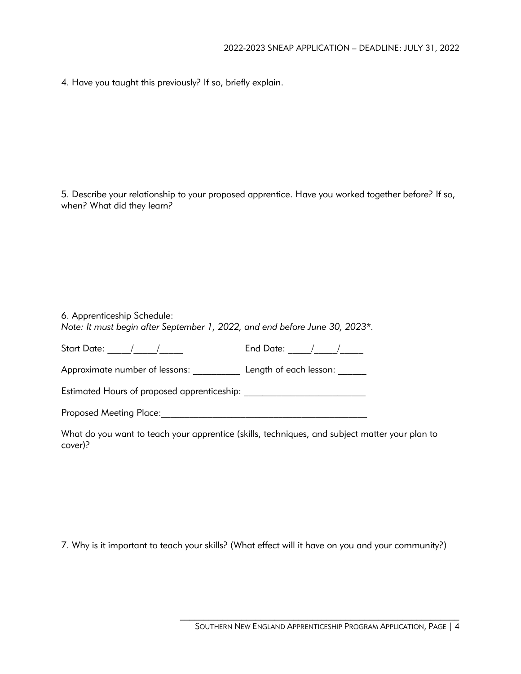4. Have you taught this previously? If so, briefly explain.

5. Describe your relationship to your proposed apprentice. Have you worked together before? If so, when? What did they learn?

| 6. Apprenticeship Schedule:<br>Note: It must begin after September 1, 2022, and end before June 30, 2023*. |                            |
|------------------------------------------------------------------------------------------------------------|----------------------------|
| Start Date: ____/___/____                                                                                  | End Date: _____/____/_____ |
| Approximate number of lessons:                                                                             | Length of each lesson:     |
| Estimated Hours of proposed apprenticeship:                                                                |                            |
| <b>Proposed Meeting Place:</b>                                                                             |                            |

What do you want to teach your apprentice (skills, techniques, and subject matter your plan to cover)?

7. Why is it important to teach your skills? (What effect will it have on you and your community?)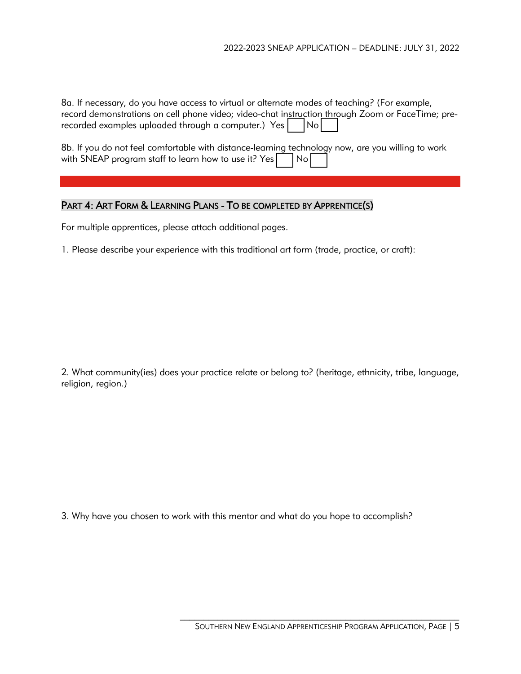8a. If necessary, do you have access to virtual or alternate modes of teaching? (For example, record demonstrations on cell phone video; video-chat instruction through Zoom or FaceTime; prerecorded examples uploaded through a computer.) Yes  $|$   $|$  No  $|$ 

8b. If you do not feel comfortable with distance-learning technology now, are you willing to work with SNEAP program staff to learn how to use it? Yes  $|$   $|$  No  $|$ 

## PART 4: ART FORM & LEARNING PLANS - TO BE COMPLETED BY APPRENTICE(S)

For multiple apprentices, please attach additional pages.

1. Please describe your experience with this traditional art form (trade, practice, or craft):

2. What community(ies) does your practice relate or belong to? (heritage, ethnicity, tribe, language, religion, region.)

3. Why have you chosen to work with this mentor and what do you hope to accomplish?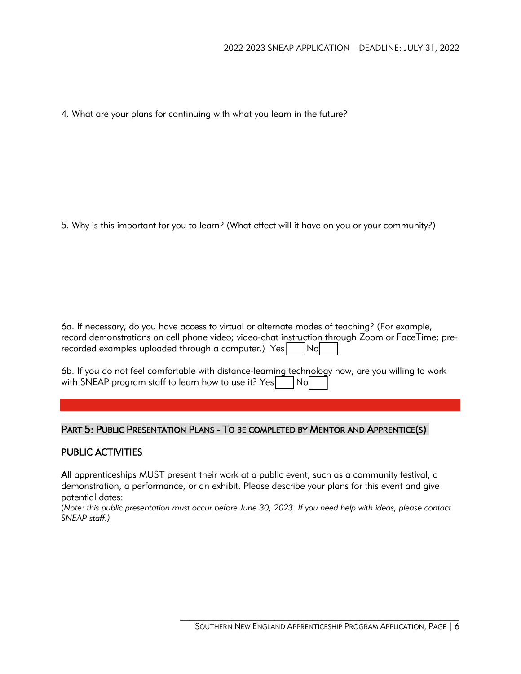4. What are your plans for continuing with what you learn in the future?

5. Why is this important for you to learn? (What effect will it have on you or your community?)

6a. If necessary, do you have access to virtual or alternate modes of teaching? (For example, record demonstrations on cell phone video; video-chat instruction through Zoom or FaceTime; prerecorded examples uploaded through a computer.)  $Yes$   $| No |$ 

6b. If you do not feel comfortable with distance-learning technology now, are you willing to work with SNEAP program staff to learn how to use it?  $Yes$  |  $|No|$ 

## PART 5: PUBLIC PRESENTATION PLANS - TO BE COMPLETED BY MENTOR AND APPRENTICE(S)

## PUBLIC ACTIVITIES

All apprenticeships MUST present their work at a public event, such as a community festival, a demonstration, a performance, or an exhibit. Please describe your plans for this event and give potential dates:

(*Note: this public presentation must occur before June 30, 2023. If you need help with ideas, please contact SNEAP staff.)*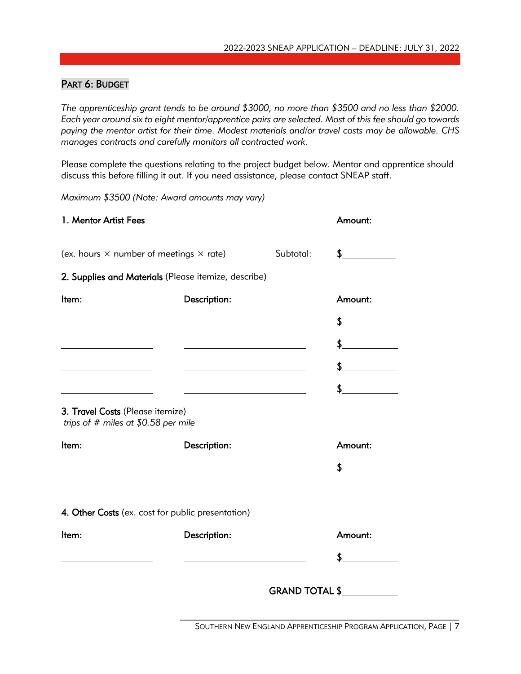## PART 6: BUDGET

*The apprenticeship grant tends to be around \$3000, no more than \$3500 and no less than \$2000. Each year around six to eight mentor/apprentice pairs are selected. Most of this fee should go towards paying the mentor artist for their time. Modest materials and/or travel costs may be allowable. CHS manages contracts and carefully monitors all contracted work*.

Please complete the questions relating to the project budget below. Mentor and apprentice should discuss this before filling it out. If you need assistance, please contact SNEAP staff.

*Maximum \$3500 (Note: Award amounts may vary)*

|                                                                          |                | Amount:                                                                                                       |
|--------------------------------------------------------------------------|----------------|---------------------------------------------------------------------------------------------------------------|
|                                                                          | Subtotal:      | $\sim$                                                                                                        |
|                                                                          |                |                                                                                                               |
| Description:                                                             |                | Amount:                                                                                                       |
|                                                                          |                | \$                                                                                                            |
| <u> 1989 - Johann Barbara, martxa a</u>                                  |                | $\frac{1}{2}$                                                                                                 |
|                                                                          |                | $\frac{1}{2}$                                                                                                 |
|                                                                          |                | $\frac{1}{2}$                                                                                                 |
| 3. Travel Costs (Please itemize)<br>trips of # miles at $$0.58$ per mile |                |                                                                                                               |
| Description:                                                             |                | Amount:                                                                                                       |
|                                                                          |                | \$                                                                                                            |
| 4. Other Costs (ex. cost for public presentation)                        |                |                                                                                                               |
| Description:                                                             |                | Amount:                                                                                                       |
|                                                                          |                | \$                                                                                                            |
|                                                                          | GRAND TOTAL \$ |                                                                                                               |
|                                                                          |                | (ex. hours $\times$ number of meetings $\times$ rate)<br>2. Supplies and Materials (Please itemize, describe) |

SOUTHERN NEW ENGLAND APPRENTICESHIP PROGRAM APPLICATION, PAGE | 7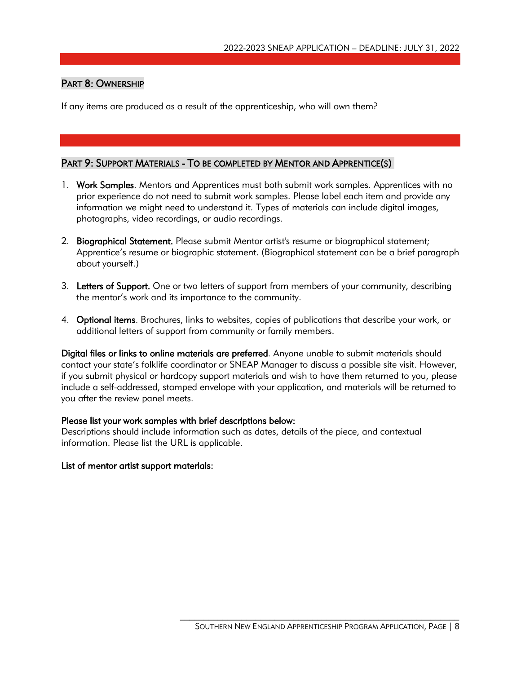## PART 8: OWNERSHIP

If any items are produced as a result of the apprenticeship, who will own them?

## PART 9: SUPPORT MATERIALS - TO BE COMPLETED BY MENTOR AND APPRENTICE(S)

- 1. Work Samples. Mentors and Apprentices must both submit work samples. Apprentices with no prior experience do not need to submit work samples. Please label each item and provide any information we might need to understand it. Types of materials can include digital images, photographs, video recordings, or audio recordings.
- 2. Biographical Statement. Please submit Mentor artist's resume or biographical statement; Apprentice's resume or biographic statement. (Biographical statement can be a brief paragraph about yourself.)
- 3. Letters of Support. One or two letters of support from members of your community, describing the mentor's work and its importance to the community.
- 4. Optional items. Brochures, links to websites, copies of publications that describe your work, or additional letters of support from community or family members.

Digital files or links to online materials are preferred. Anyone unable to submit materials should contact your state's folklife coordinator or SNEAP Manager to discuss a possible site visit. However, if you submit physical or hardcopy support materials and wish to have them returned to you, please include a self-addressed, stamped envelope with your application, and materials will be returned to you after the review panel meets.

#### Please list your work samples with brief descriptions below:

Descriptions should include information such as dates, details of the piece, and contextual information. Please list the URL is applicable.

## List of mentor artist support materials: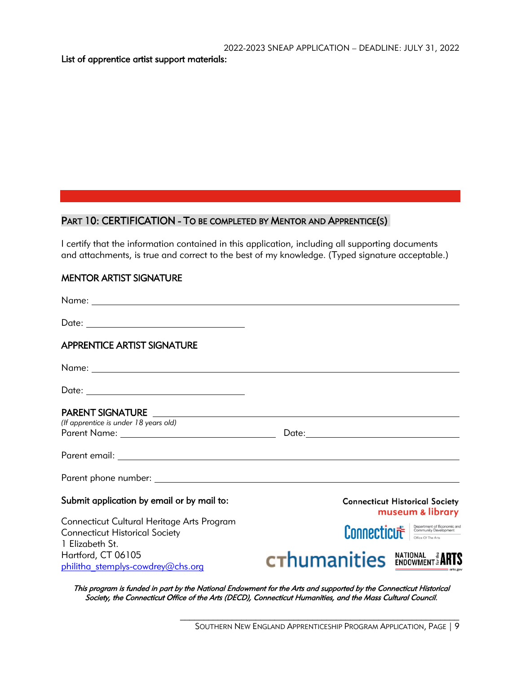List of apprentice artist support materials:

## PART 10: CERTIFICATION - TO BE COMPLETED BY MENTOR AND APPRENTICE(S)

I certify that the information contained in this application, including all supporting documents and attachments, is true and correct to the best of my knowledge. (Typed signature acceptable.)

## MENTOR ARTIST SIGNATURE

| <b>APPRENTICE ARTIST SIGNATURE</b>         |                                                                                                                   |
|--------------------------------------------|-------------------------------------------------------------------------------------------------------------------|
|                                            |                                                                                                                   |
|                                            |                                                                                                                   |
| PARENT SIGNATURE                           |                                                                                                                   |
| (If apprentice is under 18 years old)      |                                                                                                                   |
|                                            |                                                                                                                   |
|                                            |                                                                                                                   |
|                                            |                                                                                                                   |
| Submit application by email or by mail to: | <b>Connecticut Historical Society</b><br>museum & library                                                         |
| Connecticut Cultural Heritage Arts Program |                                                                                                                   |
| <b>Connecticut Historical Society</b>      | <b>Connecticut Consumants</b> Development<br><b>CONNECTICUT CONNECTIFIED Arts</b>                                 |
| 1 Elizabeth St.                            |                                                                                                                   |
| Hartford, CT 06105                         |                                                                                                                   |
| philitha stemplys-cowdrey@chs.org          | <b>CThumanities ENDOWMENT &amp; ARTIS</b>                                                                         |
|                                            | This program is funded in part by the National Endowment for the Arts and sypperted by the Connecticut Historical |

his program is funded in part by the National Endowment for the Arts and supported by the Connecticut Historical Society, the Connecticut Office of the Arts (DECD), Connecticut Humanities, and the Mass Cultural Council.